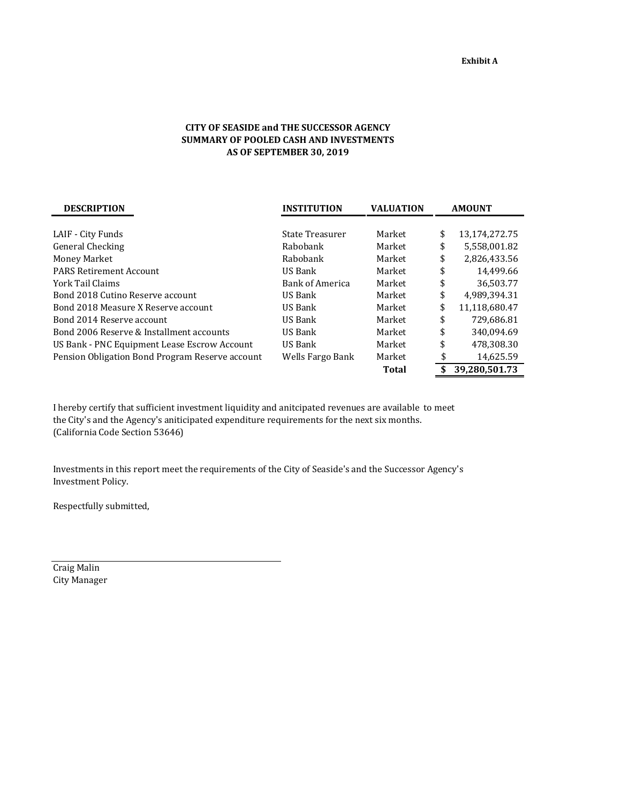## **CITY OF SEASIDE and THE SUCCESSOR AGENCY SUMMARY OF POOLED CASH AND INVESTMENTS AS OF SEPTEMBER 30, 2019**

| <b>DESCRIPTION</b>                              | <b>INSTITUTION</b>     | <b>VALUATION</b> | <b>AMOUNT</b> |               |  |
|-------------------------------------------------|------------------------|------------------|---------------|---------------|--|
|                                                 |                        |                  |               |               |  |
| LAIF - City Funds                               | State Treasurer        | Market           | \$            | 13,174,272.75 |  |
| General Checking                                | Rabobank               | Market           | \$            | 5,558,001.82  |  |
| Money Market                                    | Rabobank               | Market           | \$            | 2,826,433.56  |  |
| <b>PARS Retirement Account</b>                  | US Bank                | Market           | \$            | 14,499.66     |  |
| York Tail Claims                                | <b>Bank of America</b> | Market           | \$            | 36,503.77     |  |
| Bond 2018 Cutino Reserve account                | US Bank                | Market           | \$            | 4.989.394.31  |  |
| Bond 2018 Measure X Reserve account             | US Bank                | Market           | \$            | 11,118,680.47 |  |
| Bond 2014 Reserve account                       | US Bank                | Market           | \$            | 729,686.81    |  |
| Bond 2006 Reserve & Installment accounts        | US Bank                | Market           | \$            | 340.094.69    |  |
| US Bank - PNC Equipment Lease Escrow Account    | US Bank                | Market           | \$            | 478,308.30    |  |
| Pension Obligation Bond Program Reserve account | Wells Fargo Bank       | Market           | \$            | 14,625.59     |  |
|                                                 |                        | <b>Total</b>     |               | 39.280.501.73 |  |

I hereby certify that sufficient investment liquidity and anitcipated revenues are available to meet the City's and the Agency's aniticipated expenditure requirements for the next six months. (California Code Section 53646)

Investments in this report meet the requirements of the City of Seaside's and the Successor Agency's Investment Policy.

Respectfully submitted,

Craig Malin City Manager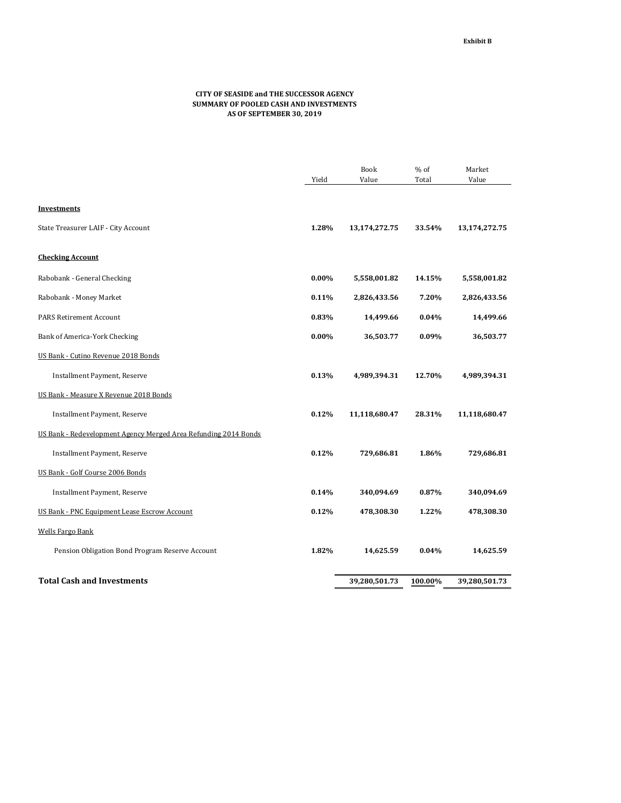## **CITY OF SEASIDE and THE SUCCESSOR AGENCY SUMMARY OF POOLED CASH AND INVESTMENTS AS OF SEPTEMBER 30, 2019**

|                                                                 |          | Book          | % of    | Market        |
|-----------------------------------------------------------------|----------|---------------|---------|---------------|
|                                                                 | Yield    | Value         | Total   | Value         |
|                                                                 |          |               |         |               |
| <b>Investments</b>                                              |          |               |         |               |
| State Treasurer LAIF - City Account                             | 1.28%    | 13,174,272.75 | 33.54%  | 13,174,272.75 |
| <b>Checking Account</b>                                         |          |               |         |               |
| Rabobank - General Checking                                     | $0.00\%$ | 5,558,001.82  | 14.15%  | 5,558,001.82  |
| Rabobank - Money Market                                         | 0.11%    | 2,826,433.56  | 7.20%   | 2,826,433.56  |
| <b>PARS Retirement Account</b>                                  | 0.83%    | 14,499.66     | 0.04%   | 14,499.66     |
| Bank of America-York Checking                                   | $0.00\%$ | 36,503.77     | 0.09%   | 36,503.77     |
| US Bank - Cutino Revenue 2018 Bonds                             |          |               |         |               |
| Installment Payment, Reserve                                    | 0.13%    | 4,989,394.31  | 12.70%  | 4,989,394.31  |
| US Bank - Measure X Revenue 2018 Bonds                          |          |               |         |               |
| Installment Payment, Reserve                                    | 0.12%    | 11,118,680.47 | 28.31%  | 11,118,680.47 |
| US Bank - Redevelopment Agency Merged Area Refunding 2014 Bonds |          |               |         |               |
| Installment Payment, Reserve                                    | 0.12%    | 729,686.81    | 1.86%   | 729,686.81    |
| US Bank - Golf Course 2006 Bonds                                |          |               |         |               |
| Installment Payment, Reserve                                    | 0.14%    | 340,094.69    | 0.87%   | 340,094.69    |
| US Bank - PNC Equipment Lease Escrow Account                    | 0.12%    | 478,308.30    | 1.22%   | 478,308.30    |
| <b>Wells Fargo Bank</b>                                         |          |               |         |               |
| Pension Obligation Bond Program Reserve Account                 | 1.82%    | 14,625.59     | 0.04%   | 14,625.59     |
| <b>Total Cash and Investments</b>                               |          | 39,280,501.73 | 100.00% | 39,280,501.73 |
|                                                                 |          |               |         |               |